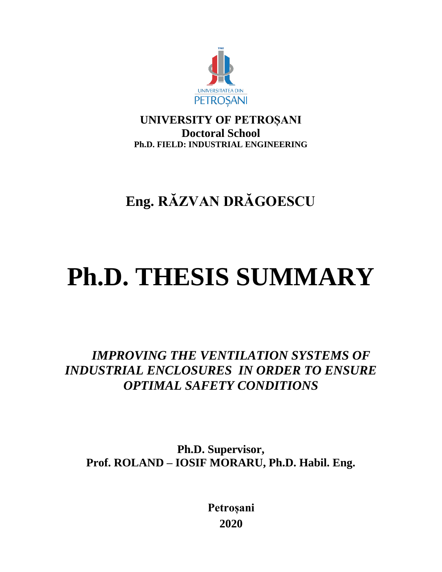

**UNIVERSITY OF PETROȘANI Doctoral School Ph.D. FIELD: INDUSTRIAL ENGINEERING**

**Eng. RĂZVAN DRĂGOESCU**

# **Ph.D. THESIS SUMMARY**

*IMPROVING THE VENTILATION SYSTEMS OF INDUSTRIAL ENCLOSURES IN ORDER TO ENSURE OPTIMAL SAFETY CONDITIONS*

**Ph.D. Supervisor, Prof. ROLAND – IOSIF MORARU, Ph.D. Habil. Eng.**

> **Petroșani 2020**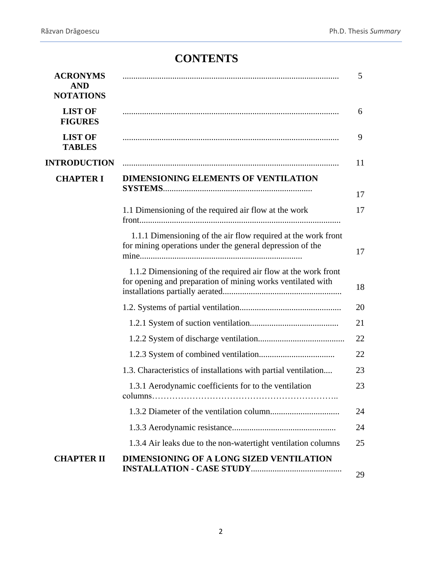# **CONTENTS**

| <b>ACRONYMS</b><br><b>AND</b><br><b>NOTATIONS</b> |                                                                                                                              | 5  |
|---------------------------------------------------|------------------------------------------------------------------------------------------------------------------------------|----|
| <b>LIST OF</b><br><b>FIGURES</b>                  |                                                                                                                              | 6  |
| <b>LIST OF</b><br><b>TABLES</b>                   |                                                                                                                              | 9  |
| <b>INTRODUCTION</b>                               |                                                                                                                              | 11 |
| <b>CHAPTER I</b>                                  | DIMENSIONING ELEMENTS OF VENTILATION                                                                                         | 17 |
|                                                   | 1.1 Dimensioning of the required air flow at the work                                                                        | 17 |
|                                                   | 1.1.1 Dimensioning of the air flow required at the work front<br>for mining operations under the general depression of the   | 17 |
|                                                   | 1.1.2 Dimensioning of the required air flow at the work front<br>for opening and preparation of mining works ventilated with | 18 |
|                                                   |                                                                                                                              | 20 |
|                                                   |                                                                                                                              | 21 |
|                                                   |                                                                                                                              | 22 |
|                                                   |                                                                                                                              | 22 |
|                                                   | 1.3. Characteristics of installations with partial ventilation                                                               | 23 |
|                                                   | 1.3.1 Aerodynamic coefficients for to the ventilation<br>columns                                                             | 23 |
|                                                   |                                                                                                                              | 24 |
|                                                   |                                                                                                                              | 24 |
|                                                   | 1.3.4 Air leaks due to the non-watertight ventilation columns                                                                | 25 |
| <b>CHAPTER II</b>                                 | <b>DIMENSIONING OF A LONG SIZED VENTILATION</b>                                                                              | 29 |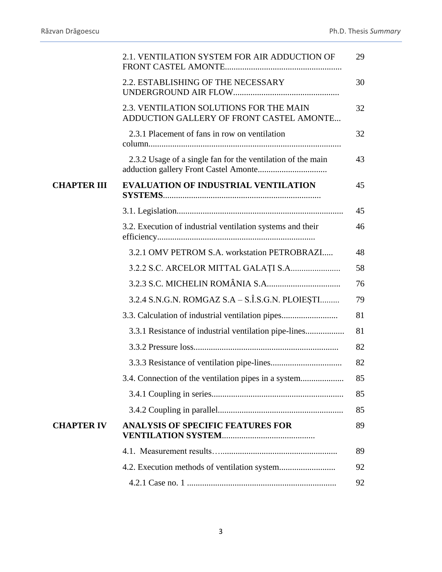|                    | 2.1. VENTILATION SYSTEM FOR AIR ADDUCTION OF                                        | 29 |
|--------------------|-------------------------------------------------------------------------------------|----|
|                    | 2.2. ESTABLISHING OF THE NECESSARY                                                  | 30 |
|                    | 2.3. VENTILATION SOLUTIONS FOR THE MAIN<br>ADDUCTION GALLERY OF FRONT CASTEL AMONTE | 32 |
|                    | 2.3.1 Placement of fans in row on ventilation                                       | 32 |
|                    | 2.3.2 Usage of a single fan for the ventilation of the main                         | 43 |
| <b>CHAPTER III</b> | <b>EVALUATION OF INDUSTRIAL VENTILATION</b>                                         | 45 |
|                    |                                                                                     | 45 |
|                    | 3.2. Execution of industrial ventilation systems and their                          | 46 |
|                    | 3.2.1 OMV PETROM S.A. workstation PETROBRAZI                                        | 48 |
|                    |                                                                                     | 58 |
|                    |                                                                                     | 76 |
|                    | 3.2.4 S.N.G.N. ROMGAZ S.A – S.Î.S.G.N. PLOIEȘTI                                     | 79 |
|                    | 3.3. Calculation of industrial ventilation pipes                                    | 81 |
|                    | 3.3.1 Resistance of industrial ventilation pipe-lines                               | 81 |
|                    |                                                                                     | 82 |
|                    |                                                                                     | 82 |
|                    | 3.4. Connection of the ventilation pipes in a system                                | 85 |
|                    |                                                                                     | 85 |
|                    |                                                                                     | 85 |
| <b>CHAPTER IV</b>  | <b>ANALYSIS OF SPECIFIC FEATURES FOR</b>                                            | 89 |
|                    |                                                                                     | 89 |
|                    |                                                                                     | 92 |
|                    |                                                                                     | 92 |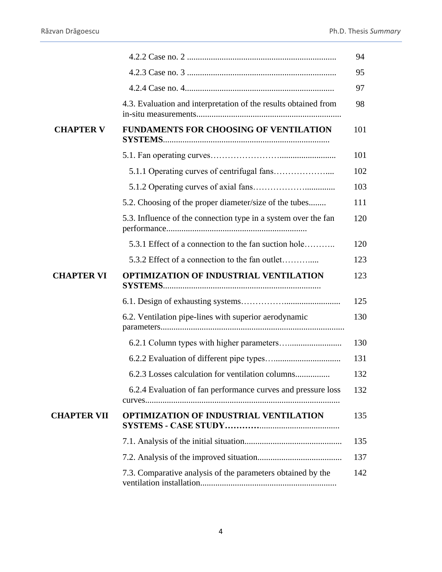|                    |                                                                 | 94  |
|--------------------|-----------------------------------------------------------------|-----|
|                    |                                                                 | 95  |
|                    |                                                                 | 97  |
|                    | 4.3. Evaluation and interpretation of the results obtained from | 98  |
| <b>CHAPTER V</b>   | <b>FUNDAMENTS FOR CHOOSING OF VENTILATION</b>                   | 101 |
|                    |                                                                 | 101 |
|                    |                                                                 | 102 |
|                    |                                                                 | 103 |
|                    | 5.2. Choosing of the proper diameter/size of the tubes          | 111 |
|                    | 5.3. Influence of the connection type in a system over the fan  | 120 |
|                    | 5.3.1 Effect of a connection to the fan suction hole            | 120 |
|                    | 5.3.2 Effect of a connection to the fan outlet                  | 123 |
| <b>CHAPTER VI</b>  | <b>OPTIMIZATION OF INDUSTRIAL VENTILATION</b>                   | 123 |
|                    |                                                                 | 125 |
|                    | 6.2. Ventilation pipe-lines with superior aerodynamic           | 130 |
|                    |                                                                 | 130 |
|                    |                                                                 | 131 |
|                    | 6.2.3 Losses calculation for ventilation columns                | 132 |
|                    |                                                                 |     |
|                    | 6.2.4 Evaluation of fan performance curves and pressure loss    | 132 |
| <b>CHAPTER VII</b> | <b>OPTIMIZATION OF INDUSTRIAL VENTILATION</b>                   | 135 |
|                    |                                                                 | 135 |
|                    |                                                                 | 137 |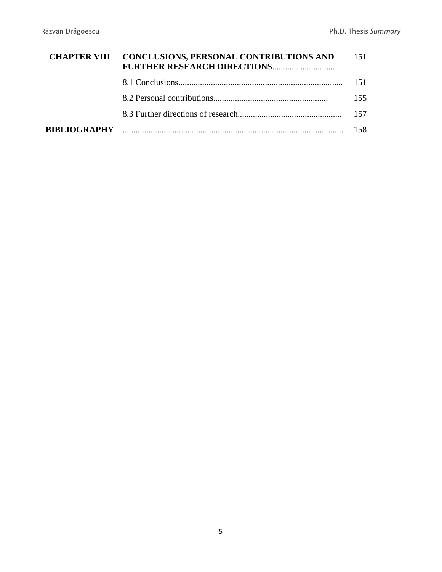|                     | <b>CHAPTER VIII CONCLUSIONS, PERSONAL CONTRIBUTIONS AND</b><br><b>FURTHER RESEARCH DIRECTIONS</b> | 151   |
|---------------------|---------------------------------------------------------------------------------------------------|-------|
|                     |                                                                                                   | 151   |
|                     |                                                                                                   | 155   |
|                     |                                                                                                   | - 157 |
| <b>BIBLIOGRAPHY</b> |                                                                                                   |       |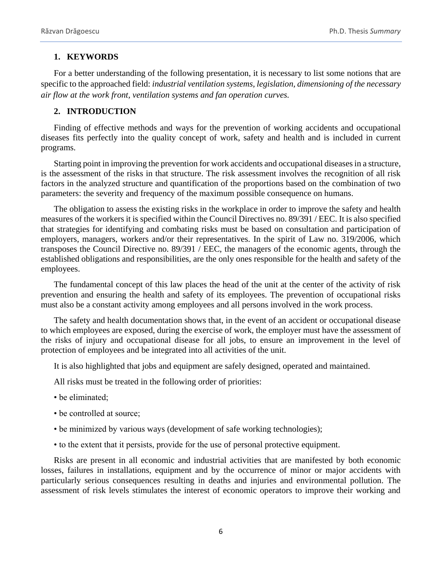## **1. KEYWORDS**

For a better understanding of the following presentation, it is necessary to list some notions that are specific to the approached field: *industrial ventilation systems, legislation, dimensioning of the necessary air flow at the work front, ventilation systems and fan operation curves.*

# **2. INTRODUCTION**

Finding of effective methods and ways for the prevention of working accidents and occupational diseases fits perfectly into the quality concept of work, safety and health and is included in current programs.

Starting point in improving the prevention for work accidents and occupational diseases in a structure, is the assessment of the risks in that structure. The risk assessment involves the recognition of all risk factors in the analyzed structure and quantification of the proportions based on the combination of two parameters: the severity and frequency of the maximum possible consequence on humans.

The obligation to assess the existing risks in the workplace in order to improve the safety and health measures of the workers it is specified within the Council Directives no. 89/391 / EEC. It is also specified that strategies for identifying and combating risks must be based on consultation and participation of employers, managers, workers and/or their representatives. In the spirit of Law no. 319/2006, which transposes the Council Directive no. 89/391 / EEC, the managers of the economic agents, through the established obligations and responsibilities, are the only ones responsible for the health and safety of the employees.

The fundamental concept of this law places the head of the unit at the center of the activity of risk prevention and ensuring the health and safety of its employees. The prevention of occupational risks must also be a constant activity among employees and all persons involved in the work process.

The safety and health documentation shows that, in the event of an accident or occupational disease to which employees are exposed, during the exercise of work, the employer must have the assessment of the risks of injury and occupational disease for all jobs, to ensure an improvement in the level of protection of employees and be integrated into all activities of the unit.

It is also highlighted that jobs and equipment are safely designed, operated and maintained.

All risks must be treated in the following order of priorities:

- be eliminated;
- be controlled at source;
- be minimized by various ways (development of safe working technologies);
- to the extent that it persists, provide for the use of personal protective equipment.

Risks are present in all economic and industrial activities that are manifested by both economic losses, failures in installations, equipment and by the occurrence of minor or major accidents with particularly serious consequences resulting in deaths and injuries and environmental pollution. The assessment of risk levels stimulates the interest of economic operators to improve their working and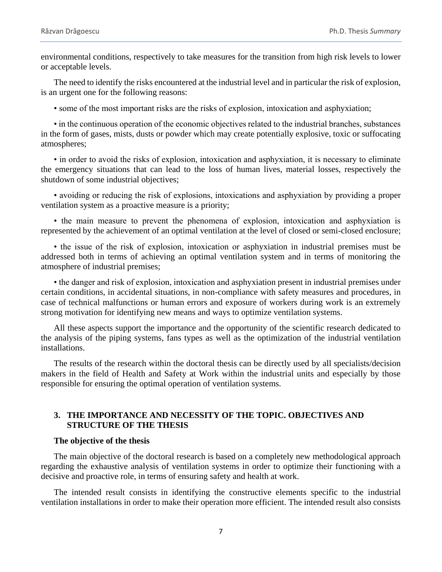environmental conditions, respectively to take measures for the transition from high risk levels to lower or acceptable levels.

The need to identify the risks encountered at the industrial level and in particular the risk of explosion, is an urgent one for the following reasons:

• some of the most important risks are the risks of explosion, intoxication and asphyxiation;

• in the continuous operation of the economic objectives related to the industrial branches, substances in the form of gases, mists, dusts or powder which may create potentially explosive, toxic or suffocating atmospheres;

• in order to avoid the risks of explosion, intoxication and asphyxiation, it is necessary to eliminate the emergency situations that can lead to the loss of human lives, material losses, respectively the shutdown of some industrial objectives;

• avoiding or reducing the risk of explosions, intoxications and asphyxiation by providing a proper ventilation system as a proactive measure is a priority;

• the main measure to prevent the phenomena of explosion, intoxication and asphyxiation is represented by the achievement of an optimal ventilation at the level of closed or semi-closed enclosure;

• the issue of the risk of explosion, intoxication or asphyxiation in industrial premises must be addressed both in terms of achieving an optimal ventilation system and in terms of monitoring the atmosphere of industrial premises;

• the danger and risk of explosion, intoxication and asphyxiation present in industrial premises under certain conditions, in accidental situations, in non-compliance with safety measures and procedures, in case of technical malfunctions or human errors and exposure of workers during work is an extremely strong motivation for identifying new means and ways to optimize ventilation systems.

All these aspects support the importance and the opportunity of the scientific research dedicated to the analysis of the piping systems, fans types as well as the optimization of the industrial ventilation installations.

The results of the research within the doctoral thesis can be directly used by all specialists/decision makers in the field of Health and Safety at Work within the industrial units and especially by those responsible for ensuring the optimal operation of ventilation systems.

# **3. THE IMPORTANCE AND NECESSITY OF THE TOPIC. OBJECTIVES AND STRUCTURE OF THE THESIS**

#### **The objective of the thesis**

The main objective of the doctoral research is based on a completely new methodological approach regarding the exhaustive analysis of ventilation systems in order to optimize their functioning with a decisive and proactive role, in terms of ensuring safety and health at work.

The intended result consists in identifying the constructive elements specific to the industrial ventilation installations in order to make their operation more efficient. The intended result also consists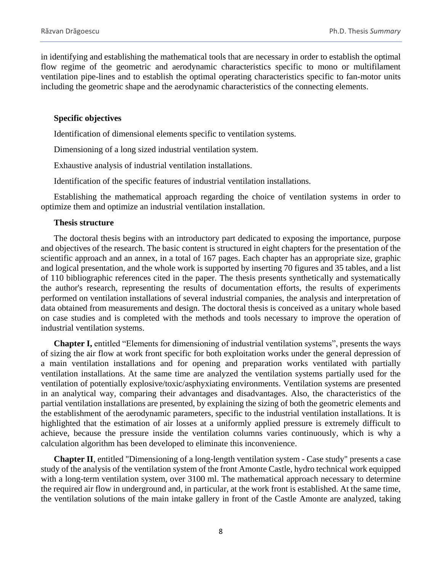in identifying and establishing the mathematical tools that are necessary in order to establish the optimal flow regime of the geometric and aerodynamic characteristics specific to mono or multifilament ventilation pipe-lines and to establish the optimal operating characteristics specific to fan-motor units including the geometric shape and the aerodynamic characteristics of the connecting elements.

#### **Specific objectives**

Identification of dimensional elements specific to ventilation systems.

Dimensioning of a long sized industrial ventilation system.

Exhaustive analysis of industrial ventilation installations.

Identification of the specific features of industrial ventilation installations.

Establishing the mathematical approach regarding the choice of ventilation systems in order to optimize them and optimize an industrial ventilation installation.

### **Thesis structure**

The doctoral thesis begins with an introductory part dedicated to exposing the importance, purpose and objectives of the research. The basic content is structured in eight chapters for the presentation of the scientific approach and an annex, in a total of 167 pages. Each chapter has an appropriate size, graphic and logical presentation, and the whole work is supported by inserting 70 figures and 35 tables, and a list of 110 bibliographic references cited in the paper. The thesis presents synthetically and systematically the author's research, representing the results of documentation efforts, the results of experiments performed on ventilation installations of several industrial companies, the analysis and interpretation of data obtained from measurements and design. The doctoral thesis is conceived as a unitary whole based on case studies and is completed with the methods and tools necessary to improve the operation of industrial ventilation systems.

**Chapter I,** entitled "Elements for dimensioning of industrial ventilation systems", presents the ways of sizing the air flow at work front specific for both exploitation works under the general depression of a main ventilation installations and for opening and preparation works ventilated with partially ventilation installations. At the same time are analyzed the ventilation systems partially used for the ventilation of potentially explosive/toxic/asphyxiating environments. Ventilation systems are presented in an analytical way, comparing their advantages and disadvantages. Also, the characteristics of the partial ventilation installations are presented, by explaining the sizing of both the geometric elements and the establishment of the aerodynamic parameters, specific to the industrial ventilation installations. It is highlighted that the estimation of air losses at a uniformly applied pressure is extremely difficult to achieve, because the pressure inside the ventilation columns varies continuously, which is why a calculation algorithm has been developed to eliminate this inconvenience.

**Chapter II**, entitled "Dimensioning of a long-length ventilation system - Case study" presents a case study of the analysis of the ventilation system of the front Amonte Castle, hydro technical work equipped with a long-term ventilation system, over 3100 ml. The mathematical approach necessary to determine the required air flow in underground and, in particular, at the work front is established. At the same time, the ventilation solutions of the main intake gallery in front of the Castle Amonte are analyzed, taking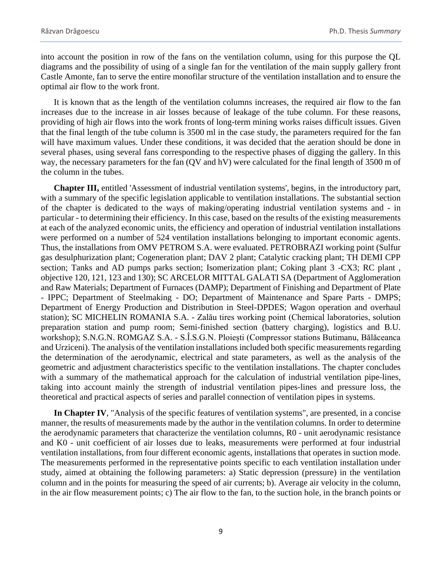into account the position in row of the fans on the ventilation column, using for this purpose the QL diagrams and the possibility of using of a single fan for the ventilation of the main supply gallery front Castle Amonte, fan to serve the entire monofilar structure of the ventilation installation and to ensure the optimal air flow to the work front.

It is known that as the length of the ventilation columns increases, the required air flow to the fan increases due to the increase in air losses because of leakage of the tube column. For these reasons, providing of high air flows into the work fronts of long-term mining works raises difficult issues. Given that the final length of the tube column is 3500 ml in the case study, the parameters required for the fan will have maximum values. Under these conditions, it was decided that the aeration should be done in several phases, using several fans corresponding to the respective phases of digging the gallery. In this way, the necessary parameters for the fan (QV and hV) were calculated for the final length of 3500 m of the column in the tubes.

**Chapter III,** entitled 'Assessment of industrial ventilation systems', begins, in the introductory part, with a summary of the specific legislation applicable to ventilation installations. The substantial section of the chapter is dedicated to the ways of making/operating industrial ventilation systems and - in particular - to determining their efficiency. In this case, based on the results of the existing measurements at each of the analyzed economic units, the efficiency and operation of industrial ventilation installations were performed on a number of 524 ventilation installations belonging to important economic agents. Thus, the installations from OMV PETROM S.A. were evaluated. PETROBRAZI working point (Sulfur gas desulphurization plant; Cogeneration plant; DAV 2 plant; Catalytic cracking plant; TH DEMI CPP section; Tanks and AD pumps parks section; Isomerization plant; Coking plant 3 -CX3; RC plant, objective 120, 121, 123 and 130); SC ARCELOR MITTAL GALATI SA (Department of Agglomeration and Raw Materials; Department of Furnaces (DAMP); Department of Finishing and Department of Plate - IPPC; Department of Steelmaking - DO; Department of Maintenance and Spare Parts - DMPS; Department of Energy Production and Distribution in Steel-DPDES; Wagon operation and overhaul station); SC MICHELIN ROMANIA S.A. - Zalău tires working point (Chemical laboratories, solution preparation station and pump room; Semi-finished section (battery charging), logistics and B.U. workshop); S.N.G.N. ROMGAZ S.A. - S.Î.S.G.N. Ploiești (Compressor stations Butimanu, Bălăceanca and Urziceni). The analysis of the ventilation installations included both specific measurements regarding the determination of the aerodynamic, electrical and state parameters, as well as the analysis of the geometric and adjustment characteristics specific to the ventilation installations. The chapter concludes with a summary of the mathematical approach for the calculation of industrial ventilation pipe-lines, taking into account mainly the strength of industrial ventilation pipes-lines and pressure loss, the theoretical and practical aspects of series and parallel connection of ventilation pipes in systems.

**In Chapter IV**, "Analysis of the specific features of ventilation systems", are presented, in a concise manner, the results of measurements made by the author in the ventilation columns. In order to determine the aerodynamic parameters that characterize the ventilation columns, R0 - unit aerodynamic resistance and K0 - unit coefficient of air losses due to leaks, measurements were performed at four industrial ventilation installations, from four different economic agents, installations that operates in suction mode. The measurements performed in the representative points specific to each ventilation installation under study, aimed at obtaining the following parameters: a) Static depression (pressure) in the ventilation column and in the points for measuring the speed of air currents; b). Average air velocity in the column, in the air flow measurement points; c) The air flow to the fan, to the suction hole, in the branch points or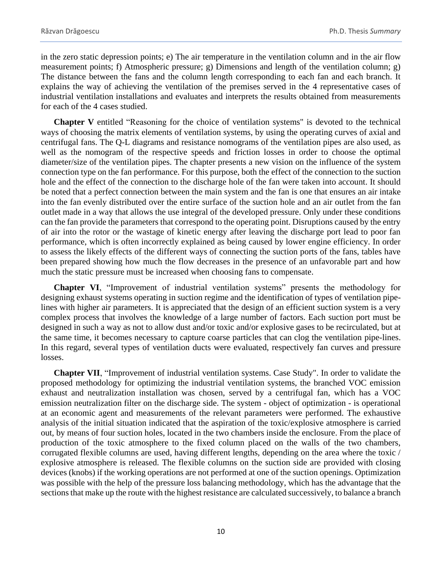in the zero static depression points; e) The air temperature in the ventilation column and in the air flow measurement points; f) Atmospheric pressure; g) Dimensions and length of the ventilation column; g) The distance between the fans and the column length corresponding to each fan and each branch. It explains the way of achieving the ventilation of the premises served in the 4 representative cases of industrial ventilation installations and evaluates and interprets the results obtained from measurements for each of the 4 cases studied.

**Chapter V** entitled "Reasoning for the choice of ventilation systems" is devoted to the technical ways of choosing the matrix elements of ventilation systems, by using the operating curves of axial and centrifugal fans. The Q-L diagrams and resistance nomograms of the ventilation pipes are also used, as well as the nomogram of the respective speeds and friction losses in order to choose the optimal diameter/size of the ventilation pipes. The chapter presents a new vision on the influence of the system connection type on the fan performance. For this purpose, both the effect of the connection to the suction hole and the effect of the connection to the discharge hole of the fan were taken into account. It should be noted that a perfect connection between the main system and the fan is one that ensures an air intake into the fan evenly distributed over the entire surface of the suction hole and an air outlet from the fan outlet made in a way that allows the use integral of the developed pressure. Only under these conditions can the fan provide the parameters that correspond to the operating point. Disruptions caused by the entry of air into the rotor or the wastage of kinetic energy after leaving the discharge port lead to poor fan performance, which is often incorrectly explained as being caused by lower engine efficiency. In order to assess the likely effects of the different ways of connecting the suction ports of the fans, tables have been prepared showing how much the flow decreases in the presence of an unfavorable part and how much the static pressure must be increased when choosing fans to compensate.

**Chapter VI**, "Improvement of industrial ventilation systems" presents the methodology for designing exhaust systems operating in suction regime and the identification of types of ventilation pipelines with higher air parameters. It is appreciated that the design of an efficient suction system is a very complex process that involves the knowledge of a large number of factors. Each suction port must be designed in such a way as not to allow dust and/or toxic and/or explosive gases to be recirculated, but at the same time, it becomes necessary to capture coarse particles that can clog the ventilation pipe-lines. In this regard, several types of ventilation ducts were evaluated, respectively fan curves and pressure losses.

**Chapter VII**, "Improvement of industrial ventilation systems. Case Study". In order to validate the proposed methodology for optimizing the industrial ventilation systems, the branched VOC emission exhaust and neutralization installation was chosen, served by a centrifugal fan, which has a VOC emission neutralization filter on the discharge side. The system - object of optimization - is operational at an economic agent and measurements of the relevant parameters were performed. The exhaustive analysis of the initial situation indicated that the aspiration of the toxic/explosive atmosphere is carried out, by means of four suction holes, located in the two chambers inside the enclosure. From the place of production of the toxic atmosphere to the fixed column placed on the walls of the two chambers, corrugated flexible columns are used, having different lengths, depending on the area where the toxic / explosive atmosphere is released. The flexible columns on the suction side are provided with closing devices (knobs) if the working operations are not performed at one of the suction openings. Optimization was possible with the help of the pressure loss balancing methodology, which has the advantage that the sections that make up the route with the highest resistance are calculated successively, to balance a branch